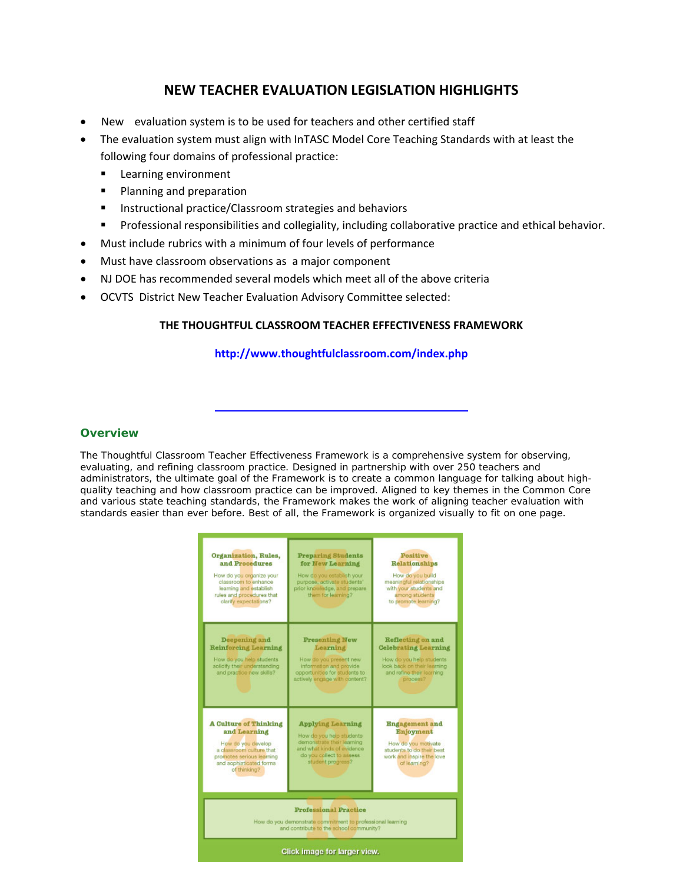# **NEW TEACHER EVALUATION LEGISLATION HIGHLIGHTS**

- New evaluation system is to be used for teachers and other certified staff
- The evaluation system must align with InTASC Model Core Teaching Standards with at least the following four domains of professional practice:
	- **Learning environment**
	- **Planning and preparation**
	- **Instructional practice/Classroom strategies and behaviors**
	- **Professional responsibilities and collegiality, including collaborative practice and ethical behavior.**
- Must include rubrics with a minimum of four levels of performance
- Must have classroom observations as a major component
- NJ DOE has recommended several models which meet all of the above criteria
- OCVTS District New Teacher Evaluation Advisory Committee selected:

### **THE THOUGHTFUL CLASSROOM TEACHER EFFECTIVENESS FRAMEWORK**

### **http://www.thoughtfulclassroom.com/index.php**

### **Overview**

The Thoughtful Classroom Teacher Effectiveness Framework is a comprehensive system for observing, evaluating, and refining classroom practice. Designed in partnership with over 250 teachers and administrators, the ultimate goal of the Framework is to create a common language for talking about highquality teaching and how classroom practice can be improved. Aligned to key themes in the Common Core and various state teaching standards, the Framework makes the work of aligning teacher evaluation with standards easier than ever before. Best of all, the Framework is organized visually to fit on one page.

| Organization, Rules,<br>and Procedures<br>How do you ordanize your<br>classroom to enhance<br>learning and establish<br>rules and procedures that<br>clarify expectations? | <b>Preparing Students</b><br>for New Learning<br>How do you establish your<br>purpose, activate students'<br>prior knowledge, and prepare<br>them for learning?   | Positive<br><b>Relationships</b><br>How do you build<br>meaningful relationships<br>with your students and<br>among students<br>to promote learning? |
|----------------------------------------------------------------------------------------------------------------------------------------------------------------------------|-------------------------------------------------------------------------------------------------------------------------------------------------------------------|------------------------------------------------------------------------------------------------------------------------------------------------------|
| Deepening and<br><b>Reinforcing Learning</b><br>How do you help students<br>solidify their understanding<br>and practice new skills?                                       | <b>Presenting New</b><br>Learning<br>How do you present new<br>information and provide<br>opportunities for students to<br>actively engage with content?          | Reflecting on and<br><b>Celebrating Learning</b><br>How do you help students<br>look back on their learning<br>and refine their learning<br>process? |
| <b>A Culture of Thinking</b><br>and Learning<br>How do you develop<br>a classroom culture that<br>promotes serious learning<br>and sophisticated forms<br>of thinking?     | <b>Applying Learning</b><br>How do you help students<br>demonstrate their learning<br>and what kinds of evidence<br>do you collect to assess<br>student progress? | <b>Engagement</b> and<br><b>Enjoyment</b><br>How do you motivate<br>students to do their best<br>work and inspire the love<br>of learning?           |
| <b>Professional Practice</b><br>How do you demonstrate commitment to professional learning<br>and contribute to the school community?<br>Click image for larger view.      |                                                                                                                                                                   |                                                                                                                                                      |